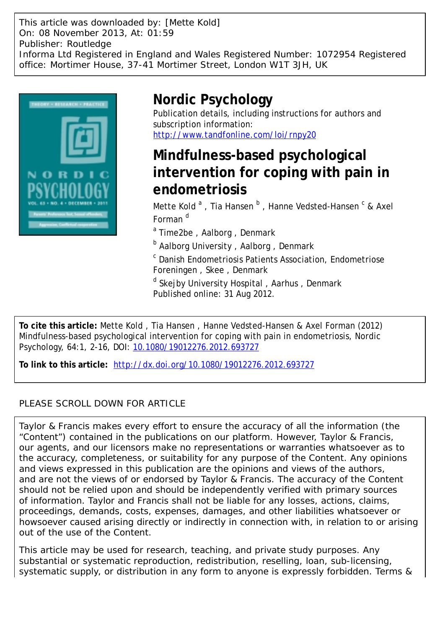This article was downloaded by: [Mette Kold] On: 08 November 2013, At: 01:59 Publisher: Routledge Informa Ltd Registered in England and Wales Registered Number: 1072954 Registered office: Mortimer House, 37-41 Mortimer Street, London W1T 3JH, UK



# **Nordic Psychology**

Publication details, including instructions for authors and subscription information: <http://www.tandfonline.com/loi/rnpy20>

## **Mindfulness-based psychological intervention for coping with pain in endometriosis**

Mette Kold <sup>a</sup>, Tia Hansen <sup>b</sup>, Hanne Vedsted-Hansen <sup>c</sup> & Axel Forman <sup>d</sup>

<sup>a</sup> Time2be, Aalborg, Denmark

<sup>b</sup> Aalborg University, Aalborg, Denmark

<sup>c</sup> Danish Endometriosis Patients Association, Endometriose Foreningen , Skee , Denmark

d Skejby University Hospital , Aarhus , Denmark Published online: 31 Aug 2012.

**To cite this article:** Mette Kold , Tia Hansen , Hanne Vedsted-Hansen & Axel Forman (2012) Mindfulness-based psychological intervention for coping with pain in endometriosis, Nordic Psychology, 64:1, 2-16, DOI: [10.1080/19012276.2012.693727](http://www.tandfonline.com/action/showCitFormats?doi=10.1080/19012276.2012.693727)

**To link to this article:** <http://dx.doi.org/10.1080/19012276.2012.693727>

## PLEASE SCROLL DOWN FOR ARTICLE

Taylor & Francis makes every effort to ensure the accuracy of all the information (the "Content") contained in the publications on our platform. However, Taylor & Francis, our agents, and our licensors make no representations or warranties whatsoever as to the accuracy, completeness, or suitability for any purpose of the Content. Any opinions and views expressed in this publication are the opinions and views of the authors, and are not the views of or endorsed by Taylor & Francis. The accuracy of the Content should not be relied upon and should be independently verified with primary sources of information. Taylor and Francis shall not be liable for any losses, actions, claims, proceedings, demands, costs, expenses, damages, and other liabilities whatsoever or howsoever caused arising directly or indirectly in connection with, in relation to or arising out of the use of the Content.

This article may be used for research, teaching, and private study purposes. Any substantial or systematic reproduction, redistribution, reselling, loan, sub-licensing, systematic supply, or distribution in any form to anyone is expressly forbidden. Terms &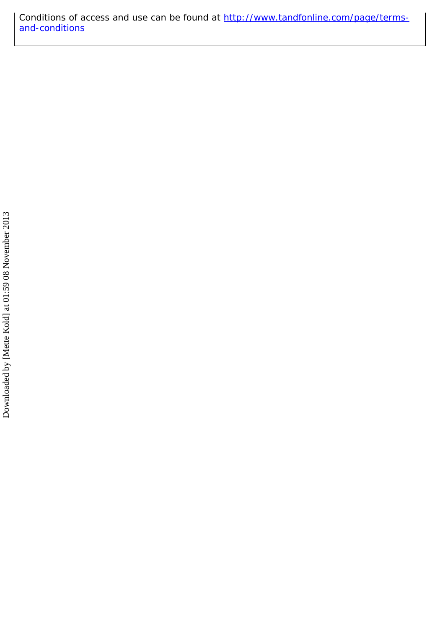Conditions of access and use can be found at [http://www.tandfonline.com/page/terms](http://www.tandfonline.com/page/terms-and-conditions)[and-conditions](http://www.tandfonline.com/page/terms-and-conditions)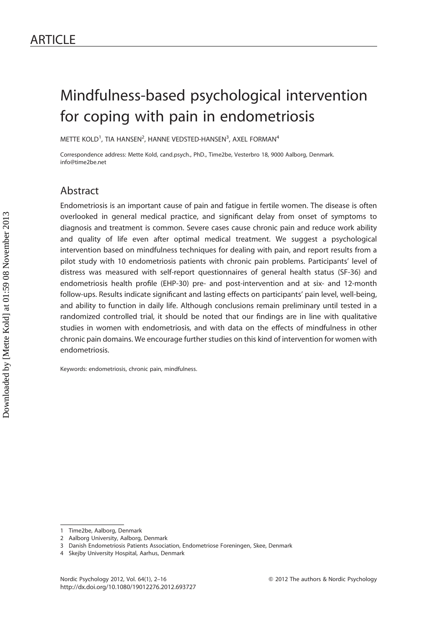# Mindfulness-based psychological intervention for coping with pain in endometriosis

METTE KOLD $^1$ , TIA HANSEN $^2$ , HANNE VEDSTED-HANSEN $^3$ , AXEL FORMAN $^4$ 

Correspondence address: Mette Kold, cand.psych., PhD., Time2be, Vesterbro 18, 9000 Aalborg, Denmark. info@time2be.net

## Abstract

Endometriosis is an important cause of pain and fatigue in fertile women. The disease is often overlooked in general medical practice, and significant delay from onset of symptoms to diagnosis and treatment is common. Severe cases cause chronic pain and reduce work ability and quality of life even after optimal medical treatment. We suggest a psychological intervention based on mindfulness techniques for dealing with pain, and report results from a pilot study with 10 endometriosis patients with chronic pain problems. Participants' level of distress was measured with self-report questionnaires of general health status (SF-36) and endometriosis health profile (EHP-30) pre- and post-intervention and at six- and 12-month follow-ups. Results indicate significant and lasting effects on participants' pain level, well-being, and ability to function in daily life. Although conclusions remain preliminary until tested in a randomized controlled trial, it should be noted that our findings are in line with qualitative studies in women with endometriosis, and with data on the effects of mindfulness in other chronic pain domains. We encourage further studies on this kind of intervention for women with endometriosis.

Keywords: endometriosis, chronic pain, mindfulness.

<sup>1</sup> Time2be, Aalborg, Denmark

<sup>2</sup> Aalborg University, Aalborg, Denmark

<sup>3</sup> Danish Endometriosis Patients Association, Endometriose Foreningen, Skee, Denmark

<sup>4</sup> Skejby University Hospital, Aarhus, Denmark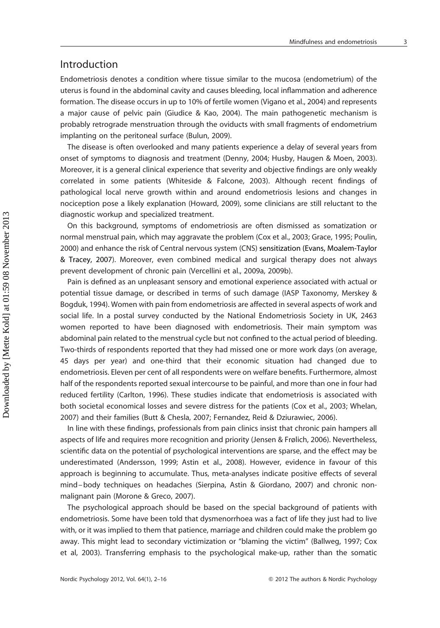## Introduction

Endometriosis denotes a condition where tissue similar to the mucosa (endometrium) of the uterus is found in the abdominal cavity and causes bleeding, local inflammation and adherence formation. The disease occurs in up to 10% of fertile women (Vigano et al., 2004) and represents a major cause of pelvic pain (Giudice & Kao, 2004). The main pathogenetic mechanism is probably retrograde menstruation through the oviducts with small fragments of endometrium implanting on the peritoneal surface (Bulun, 2009).

The disease is often overlooked and many patients experience a delay of several years from onset of symptoms to diagnosis and treatment (Denny, 2004; Husby, Haugen & Moen, 2003). Moreover, it is a general clinical experience that severity and objective findings are only weakly correlated in some patients (Whiteside & Falcone, 2003). Although recent findings of pathological local nerve growth within and around endometriosis lesions and changes in nociception pose a likely explanation (Howard, 2009), some clinicians are still reluctant to the diagnostic workup and specialized treatment.

On this background, symptoms of endometriosis are often dismissed as somatization or normal menstrual pain, which may aggravate the problem (Cox et al., 2003; Grace, 1995; Poulin, 2000) and enhance the risk of Central nervous system (CNS) sensitization (Evans, Moalem-Taylor & Tracey, 2007). Moreover, even combined medical and surgical therapy does not always prevent development of chronic pain (Vercellini et al., 2009a, 2009b).

Pain is defined as an unpleasant sensory and emotional experience associated with actual or potential tissue damage, or described in terms of such damage (IASP Taxonomy, Merskey & Bogduk, 1994). Women with pain from endometriosis are affected in several aspects of work and social life. In a postal survey conducted by the National Endometriosis Society in UK, 2463 women reported to have been diagnosed with endometriosis. Their main symptom was abdominal pain related to the menstrual cycle but not confined to the actual period of bleeding. Two-thirds of respondents reported that they had missed one or more work days (on average, 45 days per year) and one-third that their economic situation had changed due to endometriosis. Eleven per cent of all respondents were on welfare benefits. Furthermore, almost half of the respondents reported sexual intercourse to be painful, and more than one in four had reduced fertility (Carlton, 1996). These studies indicate that endometriosis is associated with both societal economical losses and severe distress for the patients (Cox et al., 2003; Whelan, 2007) and their families (Butt & Chesla, 2007; Fernandez, Reid & Dziurawiec, 2006).

In line with these findings, professionals from pain clinics insist that chronic pain hampers all aspects of life and requires more recognition and priority (Jensen & Frølich, 2006). Nevertheless, scientific data on the potential of psychological interventions are sparse, and the effect may be underestimated (Andersson, 1999; Astin et al., 2008). However, evidence in favour of this approach is beginning to accumulate. Thus, meta-analyses indicate positive effects of several mind –body techniques on headaches (Sierpina, Astin & Giordano, 2007) and chronic nonmalignant pain (Morone & Greco, 2007).

The psychological approach should be based on the special background of patients with endometriosis. Some have been told that dysmenorrhoea was a fact of life they just had to live with, or it was implied to them that patience, marriage and children could make the problem go away. This might lead to secondary victimization or "blaming the victim" (Ballweg, 1997; Cox et al, 2003). Transferring emphasis to the psychological make-up, rather than the somatic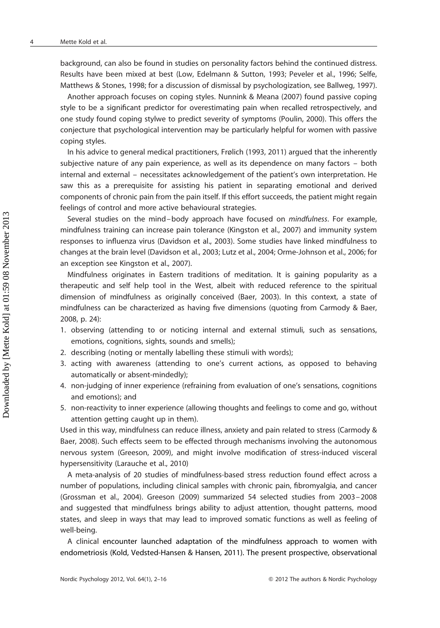background, can also be found in studies on personality factors behind the continued distress. Results have been mixed at best (Low, Edelmann & Sutton, 1993; Peveler et al., 1996; Selfe, Matthews & Stones, 1998; for a discussion of dismissal by psychologization, see Ballweg, 1997).

Another approach focuses on coping styles. Nunnink & Meana (2007) found passive coping style to be a significant predictor for overestimating pain when recalled retrospectively, and one study found coping stylwe to predict severity of symptoms (Poulin, 2000). This offers the conjecture that psychological intervention may be particularly helpful for women with passive coping styles.

In his advice to general medical practitioners, Frølich (1993, 2011) argued that the inherently subjective nature of any pain experience, as well as its dependence on many factors – both internal and external – necessitates acknowledgement of the patient's own interpretation. He saw this as a prerequisite for assisting his patient in separating emotional and derived components of chronic pain from the pain itself. If this effort succeeds, the patient might regain feelings of control and more active behavioural strategies.

Several studies on the mind-body approach have focused on *mindfulness*. For example, mindfulness training can increase pain tolerance (Kingston et al., 2007) and immunity system responses to influenza virus (Davidson et al., 2003). Some studies have linked mindfulness to changes at the brain level (Davidson et al., 2003; Lutz et al., 2004; Orme-Johnson et al., 2006; for an exception see Kingston et al., 2007).

Mindfulness originates in Eastern traditions of meditation. It is gaining popularity as a therapeutic and self help tool in the West, albeit with reduced reference to the spiritual dimension of mindfulness as originally conceived (Baer, 2003). In this context, a state of mindfulness can be characterized as having five dimensions (quoting from Carmody & Baer, 2008, p. 24):

- 1. observing (attending to or noticing internal and external stimuli, such as sensations, emotions, cognitions, sights, sounds and smells);
- 2. describing (noting or mentally labelling these stimuli with words);
- 3. acting with awareness (attending to one's current actions, as opposed to behaving automatically or absent-mindedly);
- 4. non-judging of inner experience (refraining from evaluation of one's sensations, cognitions and emotions); and
- 5. non-reactivity to inner experience (allowing thoughts and feelings to come and go, without attention getting caught up in them).

Used in this way, mindfulness can reduce illness, anxiety and pain related to stress (Carmody & Baer, 2008). Such effects seem to be effected through mechanisms involving the autonomous nervous system (Greeson, 2009), and might involve modification of stress-induced visceral hypersensitivity (Larauche et al., 2010)

A meta-analysis of 20 studies of mindfulness-based stress reduction found effect across a number of populations, including clinical samples with chronic pain, fibromyalgia, and cancer (Grossman et al., 2004). Greeson (2009) summarized 54 selected studies from 2003–2008 and suggested that mindfulness brings ability to adjust attention, thought patterns, mood states, and sleep in ways that may lead to improved somatic functions as well as feeling of well-being.

A clinical encounter launched adaptation of the mindfulness approach to women with endometriosis (Kold, Vedsted-Hansen & Hansen, 2011). The present prospective, observational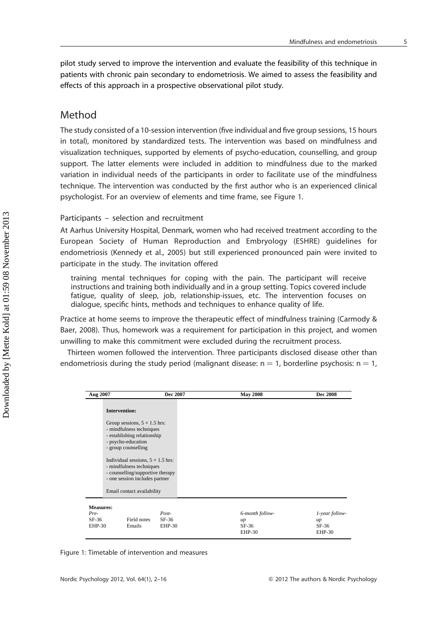pilot study served to improve the intervention and evaluate the feasibility of this technique in patients with chronic pain secondary to endometriosis. We aimed to assess the feasibility and effects of this approach in a prospective observational pilot study.

## Method

The study consisted of a 10-session intervention (five individual and five group sessions, 15 hours in total), monitored by standardized tests. The intervention was based on mindfulness and visualization techniques, supported by elements of psycho-education, counselling, and group support. The latter elements were included in addition to mindfulness due to the marked variation in individual needs of the participants in order to facilitate use of the mindfulness technique. The intervention was conducted by the first author who is an experienced clinical psychologist. For an overview of elements and time frame, see Figure 1.

#### Participants – selection and recruitment

At Aarhus University Hospital, Denmark, women who had received treatment according to the European Society of Human Reproduction and Embryology (ESHRE) guidelines for endometriosis (Kennedy et al., 2005) but still experienced pronounced pain were invited to participate in the study. The invitation offered

training mental techniques for coping with the pain. The participant will receive instructions and training both individually and in a group setting. Topics covered include fatigue, quality of sleep, job, relationship-issues, etc. The intervention focuses on dialogue, specific hints, methods and techniques to enhance quality of life.

Practice at home seems to improve the therapeutic effect of mindfulness training (Carmody & Baer, 2008). Thus, homework was a requirement for participation in this project, and women unwilling to make this commitment were excluded during the recruitment process.

Thirteen women followed the intervention. Three participants disclosed disease other than endometriosis during the study period (malignant disease:  $n = 1$ , borderline psychosis:  $n = 1$ ,

| Aug 2007         |                                                                                                                                                                                                                                                                                           | Dec 2007         | <b>May 2008</b>       | <b>Dec 2008</b>         |  |  |
|------------------|-------------------------------------------------------------------------------------------------------------------------------------------------------------------------------------------------------------------------------------------------------------------------------------------|------------------|-----------------------|-------------------------|--|--|
|                  | <b>Intervention:</b>                                                                                                                                                                                                                                                                      |                  |                       |                         |  |  |
|                  | Group sessions, $5 \times 1.5$ hrs:<br>- mindfulness techniques<br>- establishing relationship<br>- psycho-education<br>- group counselling<br>Individual sessions, $5 \times 1.5$ hrs:<br>- mindfulness techniques<br>- counselling/supportive therapy<br>- one session includes partner |                  |                       |                         |  |  |
|                  | Email contact availability                                                                                                                                                                                                                                                                |                  |                       |                         |  |  |
| <b>Measures:</b> |                                                                                                                                                                                                                                                                                           |                  |                       |                         |  |  |
| Pre-<br>$SF-36$  | Field notes                                                                                                                                                                                                                                                                               | Post-<br>$SF-36$ | 6-month follow-<br>up | 1-year follow-<br>$\mu$ |  |  |
| $EHP-30$         | Emails                                                                                                                                                                                                                                                                                    | EHP-30           | $SF-36$<br>$EHP-30$   | $SF-36$<br>$EHP-30$     |  |  |

Figure 1: Timetable of intervention and measures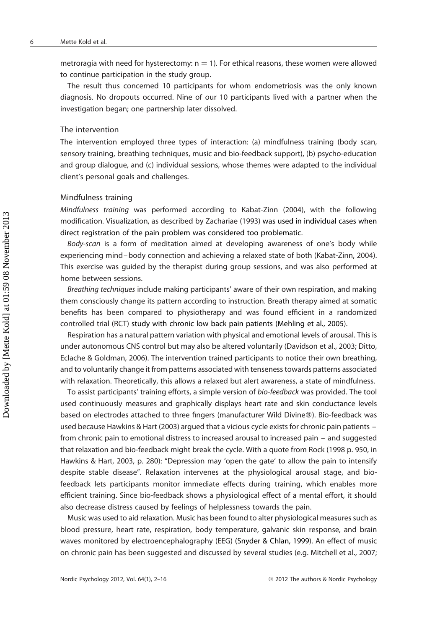metroragia with need for hysterectomy:  $n = 1$ ). For ethical reasons, these women were allowed to continue participation in the study group.

The result thus concerned 10 participants for whom endometriosis was the only known diagnosis. No dropouts occurred. Nine of our 10 participants lived with a partner when the investigation began; one partnership later dissolved.

#### The intervention

The intervention employed three types of interaction: (a) mindfulness training (body scan, sensory training, breathing techniques, music and bio-feedback support), (b) psycho-education and group dialogue, and (c) individual sessions, whose themes were adapted to the individual client's personal goals and challenges.

#### Mindfulness training

Mindfulness training was performed according to Kabat-Zinn (2004), with the following modification. Visualization, as described by Zachariae (1993) was used in individual cases when direct registration of the pain problem was considered too problematic.

Body-scan is a form of meditation aimed at developing awareness of one's body while experiencing mind –body connection and achieving a relaxed state of both (Kabat-Zinn, 2004). This exercise was guided by the therapist during group sessions, and was also performed at home between sessions.

Breathing techniques include making participants' aware of their own respiration, and making them consciously change its pattern according to instruction. Breath therapy aimed at somatic benefits has been compared to physiotherapy and was found efficient in a randomized controlled trial (RCT) study with chronic low back pain patients (Mehling et al., 2005).

Respiration has a natural pattern variation with physical and emotional levels of arousal. This is under autonomous CNS control but may also be altered voluntarily (Davidson et al., 2003; Ditto, Eclache & Goldman, 2006). The intervention trained participants to notice their own breathing, and to voluntarily change it from patterns associated with tenseness towards patterns associated with relaxation. Theoretically, this allows a relaxed but alert awareness, a state of mindfulness.

To assist participants' training efforts, a simple version of bio-feedback was provided. The tool used continuously measures and graphically displays heart rate and skin conductance levels based on electrodes attached to three fingers (manufacturer Wild Divine®). Bio-feedback was used because Hawkins & Hart (2003) argued that a vicious cycle exists for chronic pain patients – from chronic pain to emotional distress to increased arousal to increased pain – and suggested that relaxation and bio-feedback might break the cycle. With a quote from Rock (1998 p. 950, in Hawkins & Hart, 2003, p. 280): "Depression may 'open the gate' to allow the pain to intensify despite stable disease". Relaxation intervenes at the physiological arousal stage, and biofeedback lets participants monitor immediate effects during training, which enables more efficient training. Since bio-feedback shows a physiological effect of a mental effort, it should also decrease distress caused by feelings of helplessness towards the pain.

Music was used to aid relaxation. Music has been found to alter physiological measures such as blood pressure, heart rate, respiration, body temperature, galvanic skin response, and brain waves monitored by electroencephalography (EEG) (Snyder & Chlan, 1999). An effect of music on chronic pain has been suggested and discussed by several studies (e.g. Mitchell et al., 2007;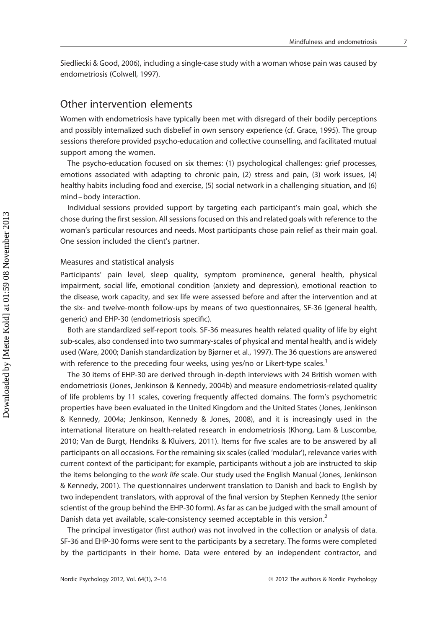Siedliecki & Good, 2006), including a single-case study with a woman whose pain was caused by endometriosis (Colwell, 1997).

## Other intervention elements

Women with endometriosis have typically been met with disregard of their bodily perceptions and possibly internalized such disbelief in own sensory experience (cf. Grace, 1995). The group sessions therefore provided psycho-education and collective counselling, and facilitated mutual support among the women.

The psycho-education focused on six themes: (1) psychological challenges: grief processes, emotions associated with adapting to chronic pain, (2) stress and pain, (3) work issues, (4) healthy habits including food and exercise, (5) social network in a challenging situation, and (6) mind –body interaction.

Individual sessions provided support by targeting each participant's main goal, which she chose during the first session. All sessions focused on this and related goals with reference to the woman's particular resources and needs. Most participants chose pain relief as their main goal. One session included the client's partner.

#### Measures and statistical analysis

Participants' pain level, sleep quality, symptom prominence, general health, physical impairment, social life, emotional condition (anxiety and depression), emotional reaction to the disease, work capacity, and sex life were assessed before and after the intervention and at the six- and twelve-month follow-ups by means of two questionnaires, SF-36 (general health, generic) and EHP-30 (endometriosis specific).

Both are standardized self-report tools. SF-36 measures health related quality of life by eight sub-scales, also condensed into two summary-scales of physical and mental health, and is widely used (Ware, 2000; Danish standardization by Bjørner et al., 1997). The 36 questions are answered with reference to the preceding four weeks, using yes/no or Likert-type scales.<sup>1</sup>

The 30 items of EHP-30 are derived through in-depth interviews with 24 British women with endometriosis (Jones, Jenkinson & Kennedy, 2004b) and measure endometriosis-related quality of life problems by 11 scales, covering frequently affected domains. The form's psychometric properties have been evaluated in the United Kingdom and the United States (Jones, Jenkinson & Kennedy, 2004a; Jenkinson, Kennedy & Jones, 2008), and it is increasingly used in the international literature on health-related research in endometriosis (Khong, Lam & Luscombe, 2010; Van de Burgt, Hendriks & Kluivers, 2011). Items for five scales are to be answered by all participants on all occasions. For the remaining six scales (called 'modular'), relevance varies with current context of the participant; for example, participants without a job are instructed to skip the items belonging to the work life scale. Our study used the English Manual (Jones, Jenkinson & Kennedy, 2001). The questionnaires underwent translation to Danish and back to English by two independent translators, with approval of the final version by Stephen Kennedy (the senior scientist of the group behind the EHP-30 form). As far as can be judged with the small amount of Danish data yet available, scale-consistency seemed acceptable in this version.<sup>2</sup>

The principal investigator (first author) was not involved in the collection or analysis of data. SF-36 and EHP-30 forms were sent to the participants by a secretary. The forms were completed by the participants in their home. Data were entered by an independent contractor, and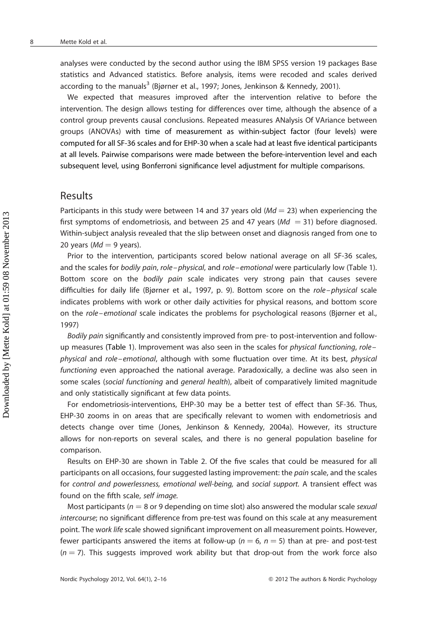analyses were conducted by the second author using the IBM SPSS version 19 packages Base statistics and Advanced statistics. Before analysis, items were recoded and scales derived according to the manuals<sup>3</sup> (Bjørner et al., 1997; Jones, Jenkinson & Kennedy, 2001).

We expected that measures improved after the intervention relative to before the intervention. The design allows testing for differences over time, although the absence of a control group prevents causal conclusions. Repeated measures ANalysis Of VAriance between groups (ANOVAs) with time of measurement as within-subject factor (four levels) were computed for all SF-36 scales and for EHP-30 when a scale had at least five identical participants at all levels. Pairwise comparisons were made between the before-intervention level and each subsequent level, using Bonferroni significance level adjustment for multiple comparisons.

### Results

Participants in this study were between 14 and 37 years old ( $Md = 23$ ) when experiencing the first symptoms of endometriosis, and between 25 and 47 years ( $Md = 31$ ) before diagnosed. Within-subject analysis revealed that the slip between onset and diagnosis ranged from one to 20 years ( $Md = 9$  years).

Prior to the intervention, participants scored below national average on all SF-36 scales, and the scales for bodily pain, role – physical, and role – emotional were particularly low (Table 1). Bottom score on the bodily pain scale indicates very strong pain that causes severe difficulties for daily life (Bjørner et al., 1997, p. 9). Bottom score on the role-physical scale indicates problems with work or other daily activities for physical reasons, and bottom score on the role-emotional scale indicates the problems for psychological reasons (Bjørner et al., 1997)

Bodily pain significantly and consistently improved from pre- to post-intervention and followup measures (Table 1). Improvement was also seen in the scales for physical functioning, role – physical and role – emotional, although with some fluctuation over time. At its best, physical functioning even approached the national average. Paradoxically, a decline was also seen in some scales (social functioning and general health), albeit of comparatively limited magnitude and only statistically significant at few data points.

For endometriosis-interventions, EHP-30 may be a better test of effect than SF-36. Thus, EHP-30 zooms in on areas that are specifically relevant to women with endometriosis and detects change over time (Jones, Jenkinson & Kennedy, 2004a). However, its structure allows for non-reports on several scales, and there is no general population baseline for comparison.

Results on EHP-30 are shown in Table 2. Of the five scales that could be measured for all participants on all occasions, four suggested lasting improvement: the pain scale, and the scales for control and powerlessness, emotional well-being, and social support. A transient effect was found on the fifth scale, self image.

Most participants ( $n = 8$  or 9 depending on time slot) also answered the modular scale sexual intercourse; no significant difference from pre-test was found on this scale at any measurement point. The work life scale showed significant improvement on all measurement points. However, fewer participants answered the items at follow-up ( $n = 6$ ,  $n = 5$ ) than at pre- and post-test  $(n = 7)$ . This suggests improved work ability but that drop-out from the work force also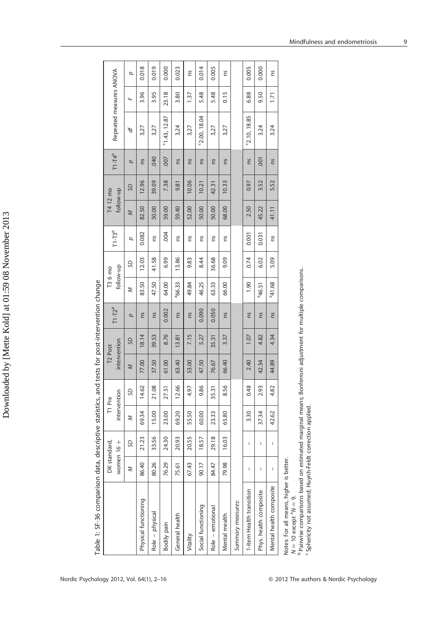| descriptive statistics, and tests for post-intervention change | Repeated measures ANOVA<br>$4^{1-1-1}$<br>T4 12 mo<br>follow-up<br>$T1 - T3^{b}$<br>follow-up<br>T36 mo | p<br>щ<br>đ<br>p<br><b>GS</b><br>N<br>p<br>SD | 0.018<br>3.96<br>3,27<br>ns<br>12.96<br>82.50<br>0.082<br>12.03 | 0.019<br>3.95<br>3,27<br>040<br>39.09<br>50.00<br>ns<br>41.58 | 0.000<br>23.18<br>$-1.43, 12.87$<br>.007<br>7.38<br>59.00<br>604<br>6.99 | 0.023<br>3.80<br>3,24<br>ns<br>9.81<br>59.40<br>ns<br>13.86 | ns<br>1.37<br>3,27<br>ns<br>10.06<br>52.00<br>ns<br>9.83 | 0.014<br>5.48<br>$-2.00, 18.04$<br>ns<br>10.21<br>50.00<br>č<br>8.44 | 0.005<br>5.48<br>3,27<br>ns<br>42.31<br>50.00<br>ns<br>36.68 | Σū<br>0.15<br>3,27<br>ns<br>10.33<br>68.00<br>Σū<br>9.09 |                   | 0.005<br>6.88<br>$-2.10, 18.85$<br>ns<br>0.97<br>2.50<br>0.001<br>0.74 | 0.000<br>9.50<br>3.24<br>$\overline{0}$<br>3.52<br>45.22<br>0.031<br>6.02 | ns<br>1.71<br>3.24<br>ns<br>5.52<br>41.11<br>ns<br>5.09 |                                         |
|----------------------------------------------------------------|---------------------------------------------------------------------------------------------------------|-----------------------------------------------|-----------------------------------------------------------------|---------------------------------------------------------------|--------------------------------------------------------------------------|-------------------------------------------------------------|----------------------------------------------------------|----------------------------------------------------------------------|--------------------------------------------------------------|----------------------------------------------------------|-------------------|------------------------------------------------------------------------|---------------------------------------------------------------------------|---------------------------------------------------------|-----------------------------------------|
|                                                                | $T1 - T2^b$                                                                                             | Z<br>p                                        | 83.50<br>ns                                                     | 47.50<br>ns                                                   | 64.00<br>0.002                                                           | ${}^{a}66.33$<br>ns                                         | 49.84<br>ns                                              | 46.25<br>0.090                                                       | 63.33<br>0.050                                               | 66.00<br>ns                                              |                   | 1.90<br>ns                                                             | <sup>a</sup> 46.51<br>ns                                                  | <sup>89</sup> .14 <sup>e</sup><br>ns                    |                                         |
|                                                                | intervention<br>T <sub>2</sub> Post                                                                     | <b>GS</b>                                     | 18.14                                                           | 39.53                                                         | 8.76                                                                     | 13.81                                                       | 7.15                                                     | 5.27                                                                 | 35.31                                                        | 3.37                                                     |                   | 1.07                                                                   | 4.82                                                                      | 4.34                                                    |                                         |
|                                                                |                                                                                                         | N                                             | 77.00                                                           | 37.50                                                         | 61.00                                                                    | 63.40                                                       | 53.00                                                    | 47.50                                                                | 76.67                                                        | 66.40                                                    |                   | 2.40                                                                   | 42.34                                                                     | 44.89                                                   |                                         |
|                                                                | intervention<br>T1 Pre                                                                                  | SD                                            | 14.62                                                           | 21.08                                                         | 27.51                                                                    | 12.66                                                       | 4.97                                                     | 9.86                                                                 | 35.31                                                        | 8.56                                                     |                   | 0.48                                                                   | 2.93                                                                      | 4.82                                                    |                                         |
|                                                                |                                                                                                         | z                                             | 69.34                                                           | 15.00                                                         | 23.00                                                                    | 69.20                                                       | 55.50                                                    | 60.00                                                                | 23.33                                                        | 65.80                                                    |                   | 3.30                                                                   | 37.34                                                                     | 42.62                                                   |                                         |
|                                                                |                                                                                                         | SD                                            | 21.23                                                           | 33.56                                                         | 24.30                                                                    | 20.93                                                       | 20.55                                                    | 18.57                                                                | 29.18                                                        | 16.03                                                    |                   | I                                                                      | I                                                                         | I                                                       |                                         |
|                                                                | women 16 +<br>DK standard,                                                                              | Z                                             | 86.40                                                           | 80.26                                                         | 76.29                                                                    | 75.61                                                       | 67.43                                                    | 90.17                                                                | 84.47                                                        | 79.98                                                    |                   | I                                                                      | I                                                                         | $\mathbf{I}$                                            |                                         |
| Table 1: SF-36 comparison data,                                |                                                                                                         |                                               | Physical functioning                                            | Role - physical                                               | Bodily pain                                                              | General health                                              | Vitality                                                 | Social functioning                                                   | Role - emotional                                             | Mental mealth                                            | Summary measures: | 1-item Health transition                                               | Phys. health composite                                                    | Mental health composite                                 | Notes: For all means, higher is better. |

N $N = 10$  except  $a$  $N = 9.$  س ص Pairwise comparisons based on estimated marginal means; Bonferroni adjustment for multiple comparisons. Sphericity not assumed; Huynh-Feldt correction applied.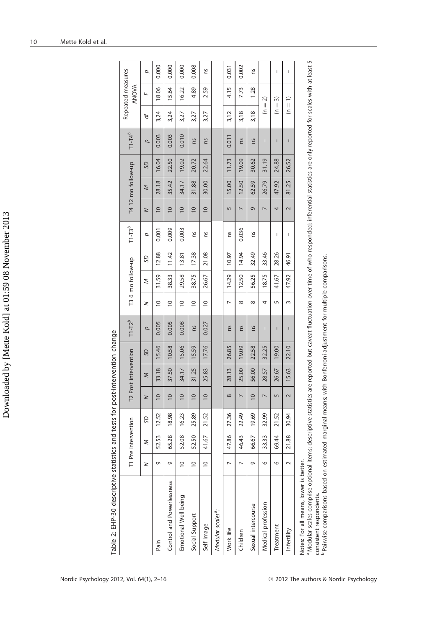|                                                                                                                |                                   | p         | 0.000           | 0.000                     | 0.000                | 0.008           | ns             |                               | 0.031          | 0.002          | ns                 | L                             | I              | I                              |                                        |
|----------------------------------------------------------------------------------------------------------------|-----------------------------------|-----------|-----------------|---------------------------|----------------------|-----------------|----------------|-------------------------------|----------------|----------------|--------------------|-------------------------------|----------------|--------------------------------|----------------------------------------|
|                                                                                                                | Repeated measures<br><b>ANOVA</b> |           |                 |                           |                      | 4.89            | 2.59           |                               | 4.15           | 7.73           | 1.28               |                               |                |                                |                                        |
|                                                                                                                |                                   | щ         | 18.06           | 15.64                     | 16.22                |                 |                |                               |                |                |                    | ন<br>$\label{eq:1} \bigsqcup$ | ลิ<br>$\equiv$ | $\widehat{=}$<br>$\frac{1}{2}$ |                                        |
|                                                                                                                |                                   | P         | 3,24            | 3,24                      | 3,27                 | 3,27            | 3,27           |                               | 3,12           | 3,18           | 3,18               | Ξ                             |                |                                |                                        |
|                                                                                                                | $11 - T4^b$                       | p         | 0.003           | 0.003                     | 0.010                | č               | ns             |                               | 0.011          | Su             | ns                 | I                             | I              | $\sf I$                        |                                        |
|                                                                                                                |                                   | <b>GS</b> | 16.04           | 22.50                     | 19.02                | 20.72           | 22.64          |                               | 11.73          | 19.09          | 30.62              | 31.19                         | 24.88          | 26.52                          |                                        |
|                                                                                                                | T4 12 mo follow-up                | Z         | 28.18           | 35.42                     | 34.17                | 31.88           | 30.00          |                               | 15.00          | 12.50          | 62.59              | 26.79                         | 47.92          | 81.25                          |                                        |
|                                                                                                                |                                   | $\geq$    | $\overline{0}$  | $\overline{0}$            | $\overline{10}$      | $\overline{0}$  | $\overline{0}$ |                               | 5              | $\overline{ }$ | Ō                  |                               | 4              | 2                              |                                        |
|                                                                                                                | $T1 - T3^{b}$                     | p         | 0.001           | 0.009                     | 0.003                | ns              | Σū             |                               | rs             | 0.036          | Σū                 | ı                             | I              | I                              |                                        |
|                                                                                                                | T3 6 mo follow-up                 | SD        | 12.88           | 11.42                     | 13.81                | 17.38           | 21.08          |                               | 10.97          | 14.94          | 32.49              | 33.46                         | 28.26          | 46.91                          |                                        |
|                                                                                                                |                                   | z         | 31.59           | 38.33                     | 29.58                | 38.75           | 26.67          |                               | 14.29          | 12.50          | 56.25              | 18.75                         | 41.67          | 47.92                          |                                        |
|                                                                                                                |                                   | z         | $\overline{10}$ | $\approx$                 | $\frac{1}{2}$        | $\overline{10}$ | $\approx$      |                               | $\overline{ }$ | $\infty$       | ${}^{\infty}$      | 4                             | 5              | 3                              |                                        |
|                                                                                                                | $T1 - T2^{b}$                     | p         | 0.005           | 0.005                     | 0.008                | ns              | 0.027          |                               | ns             | ns             | ns                 | I                             | I              | $\mathsf{I}$                   |                                        |
|                                                                                                                | T2 Post intervention              | <b>GS</b> | 15.46           | 10.58                     | 15.06                | 15.59           | 17.76          |                               | 26.85          | 19.09          | 22.58              | 32.25                         | 19.00          | 22.10                          |                                        |
|                                                                                                                |                                   | Z         | 33.18           | 37.50                     | 34.17                | 31.25           | 25.83          |                               | 28.13          | 25.00          | 56.00              | 28.57                         | 26.67          | 15.63                          |                                        |
|                                                                                                                |                                   | $\geq$    | $\overline{10}$ | $\overline{0}$            | $\overline{10}$      | $\overline{10}$ | $\overline{0}$ |                               | $\infty$       | $\overline{a}$ | $\overline{0}$     | $\overline{ }$                | 5              | $\sim$                         |                                        |
|                                                                                                                |                                   | <b>GS</b> | 12.52           | 18.98                     | 16.23                | 25.89           | 21.52          |                               | 27.36          | 22.49          | 19.69              | 32.99                         | 21.52          | 30.94                          |                                        |
|                                                                                                                | T1 Pre intervention               | z         | 52.53           | 65.28                     | 52.08                | 52.50           | 41.67          |                               | 47.86          | 46.43          | 66.67              | 33.33                         | 69.44          | 21.88                          |                                        |
|                                                                                                                |                                   | $\geq$    | 9               | Ō                         | $\approx$            | $\overline{0}$  | $\frac{1}{2}$  |                               |                |                | Ō                  | $\circ$                       | $\circ$        | $\sim$                         |                                        |
| able z: Li in John Merchen and Lessein School Donner and Line and Line and Line and Line and Line and Line and |                                   |           | Pain            | Control and Powerlessness | Emotional Well-being | Social Support  | Self Image     | Modular scales <sup>a</sup> : | Work life      | Children       | Sexual intercourse | Medical profession            | Treatment      | Infertility                    | Notes: For all means, lower is better. |

Table 2: EHP-30 descriptive statistics and tests for post-intervention change Table 2: EHP-30 descriptive statistics and tests for post-intervention change

 Modular scales comprise optional items; descriptive statistics are reported but caveat fluctuation over time of who responded; inferential statistics are only reported for scales with at least 5 consistent respondents.

Pairwise comparisons based on estimated marginal means; with Bonferroni adjustment for multiple comparisons.

Downloaded by [Mette Kold] at 01:59 08 November 2013 Downloaded by [Mette Kold] at 01:59 08 November 2013

م ه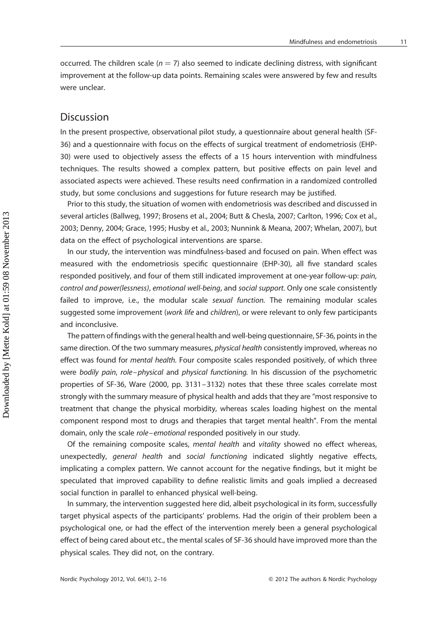occurred. The children scale ( $n = 7$ ) also seemed to indicate declining distress, with significant improvement at the follow-up data points. Remaining scales were answered by few and results were unclear.

## Discussion

In the present prospective, observational pilot study, a questionnaire about general health (SF-36) and a questionnaire with focus on the effects of surgical treatment of endometriosis (EHP-30) were used to objectively assess the effects of a 15 hours intervention with mindfulness techniques. The results showed a complex pattern, but positive effects on pain level and associated aspects were achieved. These results need confirmation in a randomized controlled study, but some conclusions and suggestions for future research may be justified.

Prior to this study, the situation of women with endometriosis was described and discussed in several articles (Ballweg, 1997; Brosens et al., 2004; Butt & Chesla, 2007; Carlton, 1996; Cox et al., 2003; Denny, 2004; Grace, 1995; Husby et al., 2003; Nunnink & Meana, 2007; Whelan, 2007), but data on the effect of psychological interventions are sparse.

In our study, the intervention was mindfulness-based and focused on pain. When effect was measured with the endometriosis specific questionnaire (EHP-30), all five standard scales responded positively, and four of them still indicated improvement at one-year follow-up: pain, control and power(lessness), emotional well-being, and social support. Only one scale consistently failed to improve, i.e., the modular scale sexual function. The remaining modular scales suggested some improvement (work life and children), or were relevant to only few participants and inconclusive.

The pattern of findings with the general health and well-being questionnaire, SF-36, points in the same direction. Of the two summary measures, physical health consistently improved, whereas no effect was found for mental health. Four composite scales responded positively, of which three were bodily pain, role-physical and physical functioning. In his discussion of the psychometric properties of SF-36, Ware (2000, pp. 3131–3132) notes that these three scales correlate most strongly with the summary measure of physical health and adds that they are "most responsive to treatment that change the physical morbidity, whereas scales loading highest on the mental component respond most to drugs and therapies that target mental health". From the mental domain, only the scale role –emotional responded positively in our study.

Of the remaining composite scales, mental health and vitality showed no effect whereas, unexpectedly, general health and social functioning indicated slightly negative effects, implicating a complex pattern. We cannot account for the negative findings, but it might be speculated that improved capability to define realistic limits and goals implied a decreased social function in parallel to enhanced physical well-being.

In summary, the intervention suggested here did, albeit psychological in its form, successfully target physical aspects of the participants' problems. Had the origin of their problem been a psychological one, or had the effect of the intervention merely been a general psychological effect of being cared about etc., the mental scales of SF-36 should have improved more than the physical scales. They did not, on the contrary.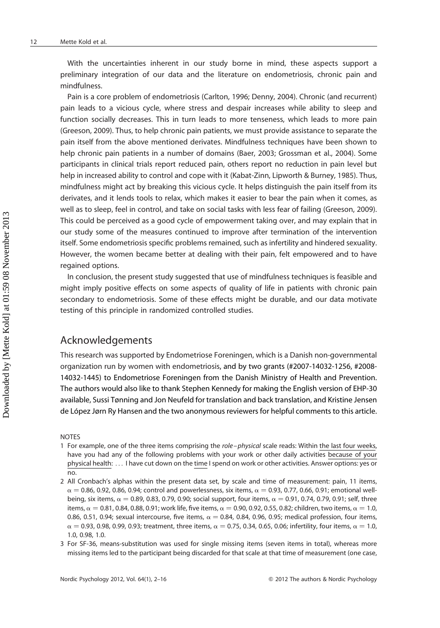With the uncertainties inherent in our study borne in mind, these aspects support a preliminary integration of our data and the literature on endometriosis, chronic pain and mindfulness.

Pain is a core problem of endometriosis (Carlton, 1996; Denny, 2004). Chronic (and recurrent) pain leads to a vicious cycle, where stress and despair increases while ability to sleep and function socially decreases. This in turn leads to more tenseness, which leads to more pain (Greeson, 2009). Thus, to help chronic pain patients, we must provide assistance to separate the pain itself from the above mentioned derivates. Mindfulness techniques have been shown to help chronic pain patients in a number of domains (Baer, 2003; Grossman et al., 2004). Some participants in clinical trials report reduced pain, others report no reduction in pain level but help in increased ability to control and cope with it (Kabat-Zinn, Lipworth & Burney, 1985). Thus, mindfulness might act by breaking this vicious cycle. It helps distinguish the pain itself from its derivates, and it lends tools to relax, which makes it easier to bear the pain when it comes, as well as to sleep, feel in control, and take on social tasks with less fear of failing (Greeson, 2009). This could be perceived as a good cycle of empowerment taking over, and may explain that in our study some of the measures continued to improve after termination of the intervention itself. Some endometriosis specific problems remained, such as infertility and hindered sexuality. However, the women became better at dealing with their pain, felt empowered and to have regained options.

In conclusion, the present study suggested that use of mindfulness techniques is feasible and might imply positive effects on some aspects of quality of life in patients with chronic pain secondary to endometriosis. Some of these effects might be durable, and our data motivate testing of this principle in randomized controlled studies.

## Acknowledgements

This research was supported by Endometriose Foreningen, which is a Danish non-governmental organization run by women with endometriosis, and by two grants (#2007-14032-1256, #2008- 14032-1445) to Endometriose Foreningen from the Danish Ministry of Health and Prevention. The authors would also like to thank Stephen Kennedy for making the English version of EHP-30 available, Sussi Tønning and Jon Neufeld for translation and back translation, and Kristine Jensen de López Jørn Ry Hansen and the two anonymous reviewers for helpful comments to this article.

#### **NOTES**

- 1 For example, one of the three items comprising the role physical scale reads: Within the last four weeks, have you had any of the following problems with your work or other daily activities because of your physical health: ... I have cut down on the time I spend on work or other activities. Answer options: yes or no.
- 2 All Cronbach's alphas within the present data set, by scale and time of measurement: pain, 11 items,  $\alpha = 0.86, 0.92, 0.86, 0.94$ ; control and powerlessness, six items,  $\alpha = 0.93, 0.77, 0.66, 0.91$ ; emotional wellbeing, six items,  $\alpha = 0.89$ , 0.83, 0.79, 0.90; social support, four items,  $\alpha = 0.91$ , 0.74, 0.79, 0.91; self, three items,  $\alpha = 0.81, 0.84, 0.88, 0.91$ ; work life, five items,  $\alpha = 0.90, 0.92, 0.55, 0.82$ ; children, two items,  $\alpha = 1.0$ , 0.86, 0.51, 0.94; sexual intercourse, five items,  $\alpha = 0.84$ , 0.84, 0.96, 0.95; medical profession, four items,  $\alpha = 0.93, 0.98, 0.99, 0.93$ ; treatment, three items,  $\alpha = 0.75, 0.34, 0.65, 0.06$ ; infertility, four items,  $\alpha = 1.0$ , 1.0, 0.98, 1.0.
- 3 For SF-36, means-substitution was used for single missing items (seven items in total), whereas more missing items led to the participant being discarded for that scale at that time of measurement (one case,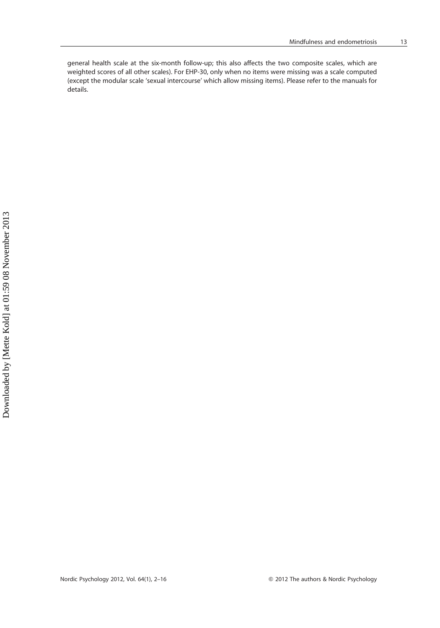general health scale at the six-month follow-up; this also affects the two composite scales, which are weighted scores of all other scales). For EHP-30, only when no items were missing was a scale computed (except the modular scale 'sexual intercourse' which allow missing items). Please refer to the manuals for details.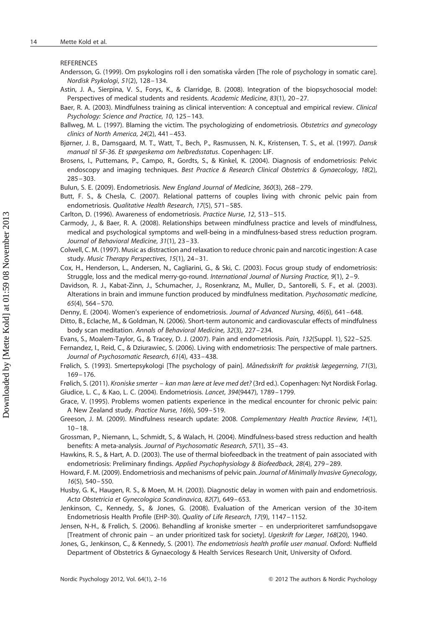#### **REFERENCES**

- Andersson, G. (1999). Om psykologins roll i den somatiska vården [The role of psychology in somatic care]. Nordisk Psykologi, 51(2), 128–134.
- Astin, J. A., Sierpina, V. S., Forys, K., & Clarridge, B. (2008). Integration of the biopsychosocial model: Perspectives of medical students and residents. Academic Medicine, 83(1), 20–27.
- Baer, R. A. (2003). Mindfulness training as clinical intervention: A conceptual and empirical review. Clinical Psychology: Science and Practice, 10, 125–143.
- Ballweg, M. L. (1997). Blaming the victim. The psychologizing of endometriosis. Obstetrics and gynecology clinics of North America, 24(2), 441–453.
- Bjørner, J. B., Damsgaard, M. T., Watt, T., Bech, P., Rasmussen, N. K., Kristensen, T. S., et al. (1997). Dansk manual til SF-36. Et spørgeskema om helbredsstatus. Copenhagen: LIF.
- Brosens, I., Puttemans, P., Campo, R., Gordts, S., & Kinkel, K. (2004). Diagnosis of endometriosis: Pelvic endoscopy and imaging techniques. Best Practice & Research Clinical Obstetrics & Gynaecology, 18(2), 285–303.
- Bulun, S. E. (2009). Endometriosis. New England Journal of Medicine, 360(3), 268–279.
- Butt, F. S., & Chesla, C. (2007). Relational patterns of couples living with chronic pelvic pain from endometriosis. Qualitative Health Research, 17(5), 571–585.
- Carlton, D. (1996). Awareness of endometriosis. Practice Nurse, 12, 513– 515.
- Carmody, J., & Baer, R. A. (2008). Relationships between mindfulness practice and levels of mindfulness, medical and psychological symptoms and well-being in a mindfulness-based stress reduction program. Journal of Behavioral Medicine, 31(1), 23–33.
- Colwell, C. M. (1997). Music as distraction and relaxation to reduce chronic pain and narcotic ingestion: A case study. Music Therapy Perspectives, 15(1), 24–31.
- Cox, H., Henderson, L., Andersen, N., Cagliarini, G., & Ski, C. (2003). Focus group study of endometriosis: Struggle, loss and the medical merry-go-round. International Journal of Nursing Practice, 9(1), 2 –9.
- Davidson, R. J., Kabat-Zinn, J., Schumacher, J., Rosenkranz, M., Muller, D., Santorelli, S. F., et al. (2003). Alterations in brain and immune function produced by mindfulness meditation. Psychosomatic medicine, 65(4), 564–570.
- Denny, E. (2004). Women's experience of endometriosis. Journal of Advanced Nursing, 46(6), 641–648.
- Ditto, B., Eclache, M., & Goldman, N. (2006). Short-term autonomic and cardiovascular effects of mindfulness body scan meditation. Annals of Behavioral Medicine, 32(3), 227–234.
- Evans, S., Moalem-Taylor, G., & Tracey, D. J. (2007). Pain and endometriosis. Pain, 132(Suppl. 1), S22–S25.
- Fernandez, I., Reid, C., & Dziurawiec, S. (2006). Living with endometriosis: The perspective of male partners. Journal of Psychosomatic Research, 61(4), 433–438.
- Frølich, S. (1993). Smertepsykologi [The psychology of pain]. Månedsskrift for praktisk lægegerning, 71(3), 169–176.
- Frølich, S. (2011). Kroniske smerter kan man lære at leve med det? (3rd ed.). Copenhagen: Nyt Nordisk Forlag. Giudice, L. C., & Kao, L. C. (2004). Endometriosis. Lancet, 394(9447), 1789 –1799.
- Grace, V. (1995). Problems women patients experience in the medical encounter for chronic pelvic pain: A New Zealand study. Practice Nurse, 16(6), 509– 519.
- Greeson, J. M. (2009). Mindfulness research update: 2008. Complementary Health Practice Review, 14(1),  $10 - 18.$
- Grossman, P., Niemann, L., Schmidt, S., & Walach, H. (2004). Mindfulness-based stress reduction and health benefits: A meta-analysis. Journal of Psychosomatic Research, 57(1), 35– 43.
- Hawkins, R. S., & Hart, A. D. (2003). The use of thermal biofeedback in the treatment of pain associated with endometriosis: Preliminary findings. Applied Psychophysiology & Biofeedback, 28(4), 279–289.
- Howard, F. M. (2009). Endometriosis and mechanisms of pelvic pain. Journal of Minimally Invasive Gynecology, 16(5), 540–550.
- Husby, G. K., Haugen, R. S., & Moen, M. H. (2003). Diagnostic delay in women with pain and endometriosis. Acta Obstetricia et Gynecologica Scandinavica, 82(7), 649– 653.
- Jenkinson, C., Kennedy, S., & Jones, G. (2008). Evaluation of the American version of the 30-item Endometriosis Health Profile (EHP-30). Quality of Life Research, 17(9), 1147–1152.
- Jensen, N-H., & Frølich, S. (2006). Behandling af kroniske smerter en underprioriteret samfundsopgave [Treatment of chronic pain – an under prioritized task for society]. Ugeskrift for Læger, 168(20), 1940.
- Jones, G., Jenkinson, C., & Kennedy, S. (2001). The endometriosis health profile user manual. Oxford: Nuffield Department of Obstetrics & Gynaecology & Health Services Research Unit, University of Oxford.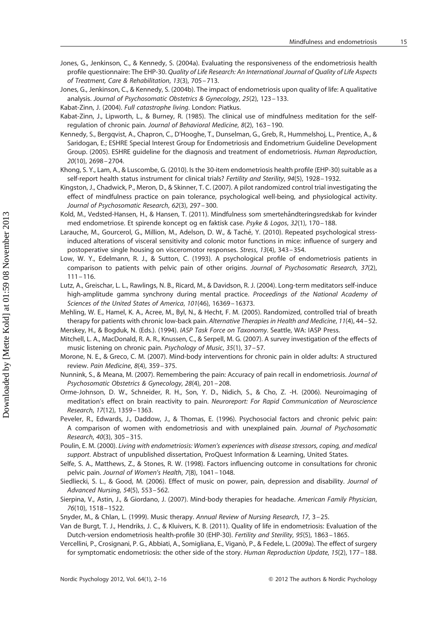- Jones, G., Jenkinson, C., & Kennedy, S. (2004a). Evaluating the responsiveness of the endometriosis health profile questionnaire: The EHP-30. Quality of Life Research: An International Journal of Quality of Life Aspects of Treatment, Care & Rehabilitation, 13(3), 705–713.
- Jones, G., Jenkinson, C., & Kennedy, S. (2004b). The impact of endometriosis upon quality of life: A qualitative analysis. Journal of Psychosomatic Obstetrics & Gynecology, 25(2), 123–133.
- Kabat-Zinn, J. (2004). Full catastrophe living. London: Piatkus.
- Kabat-Zinn, J., Lipworth, L., & Burney, R. (1985). The clinical use of mindfulness meditation for the selfregulation of chronic pain. Journal of Behavioral Medicine, 8(2), 163–190.
- Kennedy, S., Bergqvist, A., Chapron, C., D'Hooghe, T., Dunselman, G., Greb, R., Hummelshoj, L., Prentice, A., & Saridogan, E.; ESHRE Special Interest Group for Endometriosis and Endometrium Guideline Development Group. (2005). ESHRE guideline for the diagnosis and treatment of endometriosis. Human Reproduction, 20(10), 2698–2704.
- Khong, S. Y., Lam, A., & Luscombe, G. (2010). Is the 30-item endometriosis health profile (EHP-30) suitable as a self-report health status instrument for clinical trials? Fertility and Sterility, 94(5), 1928-1932.
- Kingston, J., Chadwick, P., Meron, D., & Skinner, T. C. (2007). A pilot randomized control trial investigating the effect of mindfulness practice on pain tolerance, psychological well-being, and physiological activity. Journal of Psychosomatic Research, 62(3), 297–300.
- Kold, M., Vedsted-Hansen, H., & Hansen, T. (2011). Mindfulness som smertehåndteringsredskab for kvinder med endometriose. Et spirende koncept og en faktisk case. Psyke & Logos, 32(1), 170–188.
- Larauche, M., Gourcerol, G., Million, M., Adelson, D. W., & Taché, Y. (2010). Repeated psychological stressinduced alterations of visceral sensitivity and colonic motor functions in mice: influence of surgery and postoperative single housing on visceromotor responses. Stress, 13(4), 343–354.
- Low, W. Y., Edelmann, R. J., & Sutton, C. (1993). A psychological profile of endometriosis patients in comparison to patients with pelvic pain of other origins. Journal of Psychosomatic Research, 37(2), 111–116.
- Lutz, A., Greischar, L. L., Rawlings, N. B., Ricard, M., & Davidson, R. J. (2004). Long-term meditators self-induce high-amplitude gamma synchrony during mental practice. Proceedings of the National Academy of Sciences of the United States of America, 101(46), 16369– 16373.
- Mehling, W. E., Hamel, K. A., Acree, M., Byl, N., & Hecht, F. M. (2005). Randomized, controlled trial of breath therapy for patients with chronic low-back pain. Alternative Therapies in Health and Medicine, 11(4), 44 –52. Merskey, H., & Bogduk, N. (Eds.). (1994). IASP Task Force on Taxonomy. Seattle, WA: IASP Press.
- Mitchell, L. A., MacDonald, R. A. R., Knussen, C., & Serpell, M. G. (2007). A survey investigation of the effects of music listening on chronic pain. Psychology of Music, 35(1), 37 –57.
- Morone, N. E., & Greco, C. M. (2007). Mind-body interventions for chronic pain in older adults: A structured review. Pain Medicine, 8(4), 359–375.
- Nunnink, S., & Meana, M. (2007). Remembering the pain: Accuracy of pain recall in endometriosis. Journal of Psychosomatic Obstetrics & Gynecology, 28(4), 201–208.
- Orme-Johnson, D. W., Schneider, R. H., Son, Y. D., Nidich, S., & Cho, Z. -H. (2006). Neuroimaging of meditation's effect on brain reactivity to pain. Neuroreport: For Rapid Communication of Neuroscience Research, 17(12), 1359–1363.
- Peveler, R., Edwards, J., Daddow, J., & Thomas, E. (1996). Psychosocial factors and chronic pelvic pain: A comparison of women with endometriosis and with unexplained pain. Journal of Psychosomatic Research, 40(3), 305–315.
- Poulin, E. M. (2000). Living with endometriosis: Women's experiences with disease stressors, coping, and medical support. Abstract of unpublished dissertation, ProQuest Information & Learning, United States.
- Selfe, S. A., Matthews, Z., & Stones, R. W. (1998). Factors influencing outcome in consultations for chronic pelvic pain. Journal of Women's Health, 7(8), 1041–1048.
- Siedliecki, S. L., & Good, M. (2006). Effect of music on power, pain, depression and disability. Journal of Advanced Nursing, 54(5), 553–562.
- Sierpina, V., Astin, J., & Giordano, J. (2007). Mind-body therapies for headache. American Family Physician, 76(10), 1518–1522.
- Snyder, M., & Chlan, L. (1999). Music therapy. Annual Review of Nursing Research, 17, 3–25.
- Van de Burgt, T. J., Hendriks, J. C., & Kluivers, K. B. (2011). Quality of life in endometriosis: Evaluation of the Dutch-version endometriosis health-profile 30 (EHP-30). Fertility and Sterility, 95(5), 1863–1865.
- Vercellini, P., Crosignani, P. G., Abbiati, A., Somigliana, E., Viganò, P., & Fedele, L. (2009a). The effect of surgery for symptomatic endometriosis: the other side of the story. Human Reproduction Update, 15(2), 177–188.